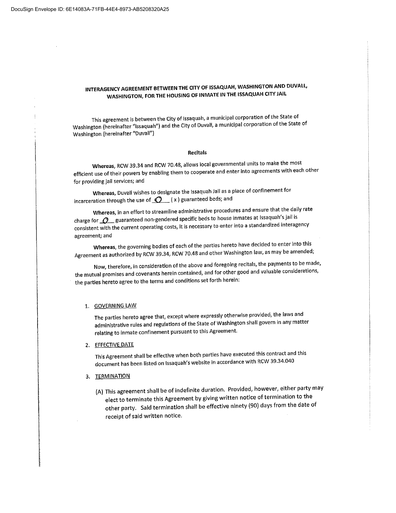# INTERAGENCY AGREEMENT BETWEEN THE CITY OF ISSAQUAH, WASHINGTON AND DUVALL, WASHINGTON, FOR THE HOUSING OF INMATE IN THE ISSAQUAH CITY JAIL

This agreement is between the City of Issaquah, <sup>a</sup> municipal corporation of the State of Washington (hereinafter "Issaquah") and the City of Duvall, a municipal corporation of the State of Washington (hereinafter "Duvai|")

#### Recitals

Whereas, RCW 39.34 and RCW 70.48, allows local governmental units to make the most efficient use of their powers by enabling them to cooperate and enter into agreements with each other for providing jail services; and

Whereas, Duvall wishes to designate the Issaquah Jail as a place of confinement for incarceration through the use of  $Q(x)$  guaranteed beds; and

Whereas, in an effort to streamline administrative procedures and ensure that the daily rate charge for  $\mathcal{Q}_\text{g}$  guaranteed non-gendered specific beds to house inmates at Issaquah's jail is consistent with the current operating costs, it is necessary to enter into <sup>a</sup> standardizedinteragency agreement; and

Whereas, the governing bodies of each of the parties hereto have decided to enter into this Agreement as authorized by RCW 39.34, RCW 70.48 and other Washington law, as may be amended;

Now, therefore, in consideration of the above and foregoing recitals, the payments to be made, the mutual promises and covenants herein contained, and for other good and valuable considerations, the parties hereto agree to the terms and conditions set forth herein:

i

i i ł. l

#### 1. GOVERNINGLAW

The parties hereto agree that, except where expressly otherwise provided, the laws and administrative rules and regulations of the State of Washington shall govern in any matter relating to inmate confinement pursuant to this Agreement.

#### 2. EFFECTIVE DATE

This Agreement shall be effective when both parties have executedthis contract and this document has been listed on Issaquah's website in accordance with RCW 39.34.040

#### 3. TERMINATION

(A) This agreement shall be of indefinite duration. Provided, however, either party may elect to terminate this Agreement by giving written notice of termination to the other party. Said termination shall be effective ninety (90) days from the date of receipt of said written notice.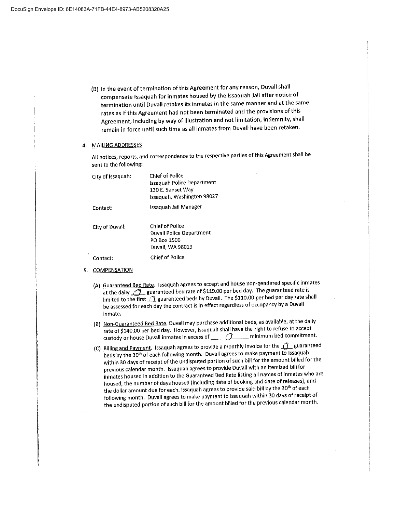(B) In the event of termination of this Agreement for any reason, Duvallshall compensate lssaquah for inmates housed by the lssaquah Jail after notice of termination until Duvall retakes its inmates in the same manner and at the same rates as ifthis Agreement had not been terminated and the provisions ofthis Agreement, including by way of illustration and not limitation, Indemnity, shall remain in force until such time as all inmates from Duvall have been retaken.

### 4. MAILING ADDRESSES

All notices, reports, and correspondence to the respective parties of this Agreement shall be sent to the following:

| City of Issaquah: | Chief of Police<br><b>Issaquah Police Department</b><br>130 E. Sunset Way<br>Issaquah, Washington 98027 |
|-------------------|---------------------------------------------------------------------------------------------------------|
| Contact:          | Issaquah Jail Manager                                                                                   |
| City of Duvall:   | <b>Chief of Police</b><br><b>Duvall Police Department</b><br>PO Box 1500<br>Duvall, WA 98019            |
| Contact:          | Chief of Police                                                                                         |

- 5. COMPENSATION
	- (A) Guaranteed Bed Rate. Issaquah agrees to accept and house non-gendered specific inmates at the daily <u>20</u> guaranteed bed rate of \$110.00 per bed day. The guaranteed rate is limited to the first  $\bigcirc$  guaranteed beds by Duvall. The \$110.00 per bed per day rate shall be assessed for each day the contract is in effect regardless of occupancy by a Duvall inmate.
	- (B) Non-Guaranteed Bed Rate. Duvall may purchase additional beds, as available, at the daily rate of \$140.00 per bed day. However, Issaquah shall have the right to refuse to accept custody or house Duvall inmates in excess of  $\frown$  minimum bed commitment.
	- (C) Billing and Payment. Issaquah agrees to provide a monthly invoice for the  $\bigcirc$  guaranteed beds by the 30<sup>th</sup> of each following month. Duvall agrees to make payment to Issaquah within 30 days of receipt of the undisputed portion of such bill for the amount billed for the previous calendar month. Issaquah agrees to provide Duvall with an itemized bill for inmates housed in addition to the Guaranteed Bed Rate listing all names of inmates who are housed, the number of days housed (including date of booking and date of releases), and the dollar amount due for each. Issaquah agrees to provide said bill by the 30<sup>th</sup> of each following month. Duvall agrees to make payment to issaquah within 30 days of receipt of the undisputed portion of such bill for the amount billed for the previous calendar month.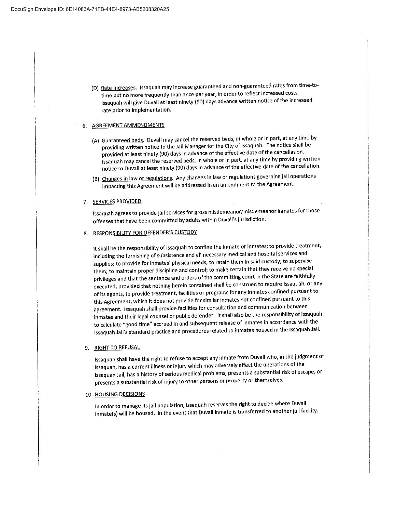(D) Rate Increases. lssaquah may increase guaranteed and non-guaranteed rates from time-totime but no more frequently than once per year, in order to reflect increased costs. Issaquah will give Duvall at least ninety (90) days advance written notice of the increased rate prior to implementation.

#### 6. AGREEMENT AMMENDMENTS

- (A) Guaranteed beds. Duvall may cancel the reserved beds, in whole or in part, at any time by providing written notice to the Jail Manager for the City of Issaquah. The notice shall be providedat least ninety (90) days in advance of the effective date of the cancellation. Issaquah may cancel the reserved beds, in whole or in part, at any time by providing written notice to Duvallat least ninety (90) days in advance of the effective date of the cancellation.
- (B) Changes in law or regulations. Any changes in law or regulations governing jail operations impacting this Agreement will be addressed in an amendment to the Agreement.

#### 7. SERVICES PROVIDED

lssaquah agrees to provide jail services for gross misdemeanor/misdemeanor inmates for those offenses that have been committed by adults within Duvall's jurisdiction.

### 8. RESPONSIBILITY FOR OFFENDER'S CUSTODY

it shall be the responsibility of Issaquah to confine the inmate or inmates; to provide treatment, including the furnishing of subsistence and all necessary medicaland hospital services and supplies; to provide for inmates' physical needs; to retain them in said custody; to supervise them; to maintain proper discipline and control; to make certain that they receive no special privileges and that the sentence and orders of the committing court in the State are faithfully executed; provided that nothing herein contained shall be construed to require Issaquah, or any of its agents, to provide treatment, facilities or programs for any inmates confined pursuant to this Agreement, which it does not provide for similar inmates not confined pursuant to this agreement. Issaquah shall provide facilities for consultation and communication between inmates and their legal counsel or public defender. It shall also be the responsibility of Issaquah to calculate "good time" accrued in and subsequent release of inmates in accordance with the lssaquah Jail's standard practice and procedures related to inmates housed in the Issaquah Jail.

### 9. RIGHT TO REFUSAL

lssaquah shall have the right to refuse to accept any inmate from Duvallwho, in the judgment of lssaquah, has <sup>a</sup> current illnessor injury whichmay adversely affect the operations of the lssaquah Jail, has a history of serious medical problems, presents a substantial risk of escape, or presents a substantial risk of injury to other persons or property or themselves.

#### 10. H<u>OUSING DECISIONS</u>

in order to manage itsjail population, lssaquah reservesthe right to decide where Duvall inmate(s) will be housed. In the event that Duvall inmate is transferred to another jail facility.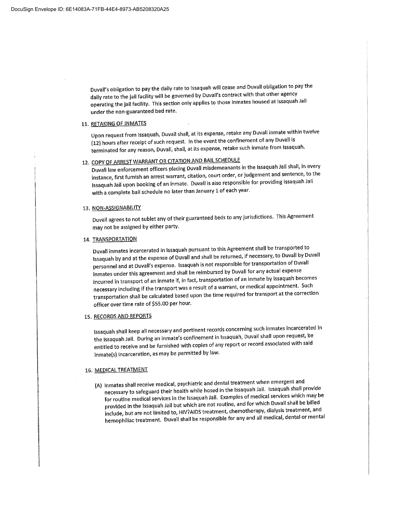Duvall's obligation to pay the daily rate to issaquah will cease and Duvall obligation to pay the daily rate to the jail facility will be governed by Duvall's contract with that other agency operating the jail facility. This section only applies to those inmates housed at issaquah Jail under the non-guaranteed bed rate.

### 11. RETAKING OF INMATES

Upon request from Issaquah, Duvall shall, at its expense, retake any Duvall inmate within twelve (12) hours after receipt of such request. In the event the confinement of any Duvallis terminated for any reason, Duvall, shall, at its expense, retake such inmate from Issaquah.

# 12. COPY OF ARREST WARRANT OR CITATION AND BAIL SCHEDULE

Duvall law enforcement officers placing Duvall misdemeanants in the Issaquah Jail shall, in every instance, first furnish an arrest warrant, citation, court order, or judgement and sentence, to the lssaquah Jail upon booking of an inmate. Duvall is also responsible for providing Issaquah Jail with <sup>a</sup> complete bail schedule no later than January <sup>1</sup> of each year.

#### 13. NON-ASSIGNABILITY

Duvall agrees to not sublet any of their guaranteed beds to any jurisdictions. This Agreement may not be assigned by either party.

#### 14. TRANSPORTATION

Duvall inmates incarcerated in issaquah pursuant to this Agreement shall be transported to lssaquah by and at the expense of Duvall and shall be returned, if necessary, to Duvall by Duvall personneland at Duva|i's expense. lssaquah is not responsible for transportation of Duvall inmates under this agreement and shall be reimbursed by Duvall for any actual expense incurred in transport of an inmate if, in fact, transportation of an inmate by Issaquah becomes necessary including if the transport was a result of a warrant, or medical appointment. Such transportation shall be calculated based upon the time required for transport at the correction officer over time rate of \$55.00 per hour.

ł.

### 15. RECORDS AND REPORTS

lssaquah shall keep all necessary and pertinent records concerning such inmates incarcerated in the issaquah Jail. During an inmate's confinement in Issaquah, Duvall shall upon request, be entitled to receive and be furnished with copies of any report or record associated with said inmate(s) incarceration, as may be permitted by law.

#### 16. MEDICALTREATMENT

(A) Inmates shall receive medical, psychiatric and dental treatment when emergent and necessary to safeguard their health while hosed in the Issaquah Jail. Issaquah shall provide for routine medical services in the Issaquah Jail. Examples of medical services which may be provided in the Issaquah Jail but which are not routine, and for which Duvall shall be billed include, but are not limited to, HIV?AIDS treatment, chemotherapy, dialysis treatment, and hemophiliac treatment. Duvall shall be responsible for any and all medical, dental or mental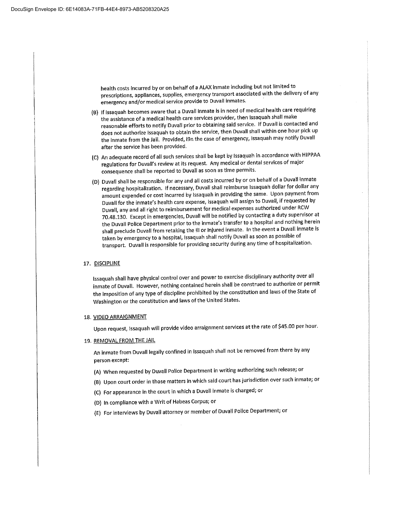health costs incurred by or on behalf of a ALAX inmate including but not limited to prescriptions, appliances, supplies, emergency transport associated with the delivery of any emergency and/or medical service provide to Duvall inmates.

- (B) iflssaquah becomes aware that <sup>a</sup> Duvaliinmate is in need of medical health care requiring \_ the assistance of a medical health care services provider, then Issaquah shall make reasonable efforts to notify Duvall prior to obtaining said service. If Duvall is contacted and does not authorize Issaquah to obtain the service, then Duvall shall within one hour pick up the inmate from the Jail. Provided, i9n the case of emergency, Issaquah may notify Duvall after the service has been provided.
- (C) An adequate record of all such services shall be kept by Issaquah in accordance with HIPPAA regulations for Duvall's review at its request. Any medical or dental services of major consequence shall be reported to Duvall as soon as time permits.
- (D) Duvall shall be responsible for any and all costs incurred by or on behalf of a Duvall inmate regarding hospitalization. If necessary, Duvall shall reimburse Issaquah dollar for dollar any amount expended or cost incurred by Issaquah in providing the same. Upon payment from Duvall for the inmate's health care expense, issaquah will assign to Duvall, if requested by Duvali,any and all right to reimbursement for medicalexpenses authorizedunder RCW 70.48.130. Except in emergencies, Duvall will be notified by contacting a duty supervisor at the Duvall Police Department prior to the inmate's transfer to a hospital and nothing herein shall preclude Duvall from retaking the ill or injured inmate. In the event a Duvall inmate is taken by emergency to a hospital, Issaquah shall notify Duvall as soon as possible of transport. Duvall is responsible for providing security during any time of hospitalization.

### 17. DISCIPLINE

Issaquah shall have physical control over and power to exercise disciplinary authority over all inmate of Duvall. However, nothing contained herein shall be construed to authorize or permit the imposition of any type of discipline prohibited by the constitution and laws of the State of Washington or the constitution and laws of the United States.

#### 18. VIDEO ARRAIGNMENT

Upon request, Issaquah will provide video arraignment services at the rate of \$45.00 per hour.

19. REMOVAL FROM THE JAIL

An inmate from Duvall legally confined in Issaquah shall not be removed from there by any person except:

- (A) When requested by Duvall Police Department in writing authorizing such release; or
- (B) Upon court order in those matters in which said court has jurisdiction over such inmate; or
- (C) For appearance in the court in which a Duvall inmate is charged; or
- (D) In compliance with a Writ of Habeas Corpus; or
- (E) For interviews by Duvaliattorney or member of DuvaliPoliceDepartment; or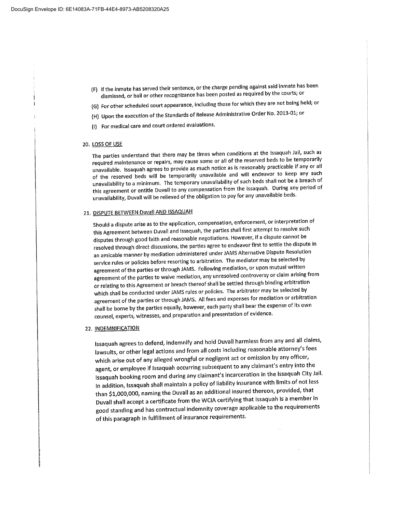- (F) Ifthe inmate has served their sentence, or the charge pendingagainst said inmate has been dismissed, or ball or other recognizance has been posted as required by the courts; or
- (G) For other scheduled court appearance, including those for which they are not being held; or
- (H) Upon the execution of the Standards of Release Administrative Order No. 2013-01; or
- (I) For medical care and court ordered evaluations.

#### 20. LOSS OF USE

The parties understand that there may be times when conditions at the Issaquah Jail, such as required maintenance or repairs, may cause some or all of the reserved beds to be temporarily unavailable. Issaquah agrees to provide as much notice as is reasonably practicable if any or all of the reserved beds will be temporarily unavailable and will endeavor to keep any such unavailability to a minimum. The temporary unavailability of such beds shall not be a breach of this agreement or entitle Duvall to any compensation from the Issaquah. During any period of unavailability, Duvall will be relieved of the obligation to pay for any unavailable beds.

### 21. DISPUTE BETWEEN Duvall AND ISSAQUAH

Should <sup>a</sup> dispute arise as to the application, compensation, enforcement, or interpretation of this Agreement between Duvall and Issaquah, the parties shall first attempt to resolve such disputes through good faith and reasonable negotiations. However, if a dispute cannot be resolved through direct discussions, the parties agree to endeavor first to settle the dispute in an amicable manner by mediation administered under JAMS Alternative Dispute Resolution service rules or policies before resorting to arbitration. The mediator may be selected by agreement of the parties or through JAMS. Following mediation, or upon mutual written agreement of the parties to waive mediation, any unresolved controversy or claim arising from or relating to this Agreement or breach thereof shall be settled through binding arbitration which shall be conducted under JAMS rules or policies. The arbitrator may be selected by agreement of the parties or through JAMS. All fees and expenses for mediation or arbitration shall be borne by the parties equally, however, each party shall bear the expense of its own counsel, experts, witnesses, and preparation and presentationof evidence.

#### 22. INDEMNIFICATION

lssaquah agrees to defend, indemnify and hold Duvallharmlessfrom any and all claims, lawsuits, or other legal actions and from all costs including reasonable attorney's fees which arise out of any alleged wrongful or negligent act or omission by any officer, agent, or employee if lssaquah occurring subsequent to any claimant's entry into the lssaquah booking room and during any claimant'sincarcerationin the lssaquah City Jail. In addition, Issaquah shall maintain a policy of liability insurance with limits of not less than \$1,000,000, naming the Duvall as an additional insured thereon, provided, that Duvall shall accept a certificate from the WCIA certifying that Issaquah is a member in good standing and has contractual indemnity coverage applicable to the requirements of this paragraph in fulfillment of insurance requirements.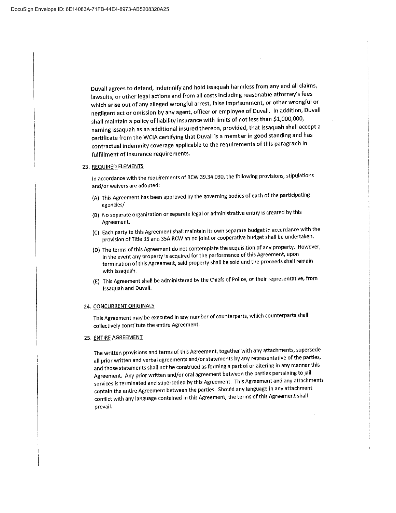Duvall agrees to defend, indemnify and hold Issaquah harmless from any and all claims, lawsuits, or other legal actions and from all costs including reasonable attorney's fees which arise out of any alleged wrongful arrest, false imprisonment, or other wrongful or negligent act or omission by any agent, officer or employee of Duvall. In addition, Duvall shall maintain a policy of liability insurance with limits of not less than \$1,000,000, naming Issaquah as an additional insured thereon, provided, that Issaquah shall accept a certificate from the WCIA certifying that Duvall is a member in good standing and has contractual indemnity coverage applicable to the requirements of this paragraph in fulfillment of insurance requirements.

#### 23. REQUIRED ELEMENTS

In accordance with the requirements of RCW 39.34.030, the following provisions, stipulations and/or waivers are adopted:

- (A) ThisAgreement has been approved by the governing bodies of each of the participating agencies/
- (8) No separate organization or separate legal or administrativeentity is created by this : Agreement.
- (C) Each party to this Agreement shall maintain its own separate budget in accordance with the provision of Title 35 and 35A RCW an no joint or cooperative budget shall be undertaken.
- (D) The terms of this Agreement do not contemplate the acquisition of any property. However, in the event any property is acquired for the performance of this Agreement, upon termination of this Agreement, said property shall be sold and the proceeds shall remain with issaquah.
- (E) This Agreement shall be administered by the Chiefs of Police, or their representative, from issaquah and Duvall.

l

#### 24. CONCURRENT ORIGINALS

This Agreement may be executed in any number of counterparts, which counterparts shall collectively constitute the entire Agreement.

#### 25. ENTIRE AGREEMENT

The written provisionsand terms of this Agreement, together with any attachments, supersede all prior written and verbal agreements and/or statements by any representative of the parties, and those statements shall not be construed as forming a part of or altering in any manner this Agreement. Any prior written and/or oral agreement between the parties pertaining to jail services is terminated and superseded by this Agreement. This Agreement and any attachments contain the entire Agreement between the parties. Should any language in any attachment conflict with any language contained in this Agreement, the terms of this Agreement shall prevail.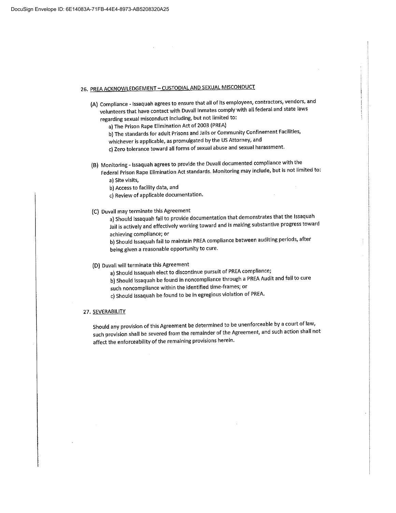# 26. PREA ACKNOWLEDGEMENT - CUSTODIAL AND SEXUAL MISCONDUCT

(A) Compliance - Issaquah agrees to ensure that all of its employees, contractors, vendors, and volunteers that have contact with Duvall Inmates comply with all federal and state laws regarding sexual misconduct including, but not limited to:

a) The Prison Rape Elimination Act of 2003 (PREA)

- b) The standards for adult Prisons and Jails or Community Confinement Facilities,
- whichever is applicable, as promulgated by the US Attorney, and
- c) Zero tolerance toward all forms of sexual abuse and sexual harassment.
- (B) Monitoring Issaquah agrees to provide the Duvall documented compliance with the Federal Prison Rape Elimination Act standards. Monitoring may include, but is not limited to:
	- a) Site visits,
	- b) Access to facility data, and
	- c) Review of applicable documentation.
- (C) Duvall may terminate this Agreement
	- a) Should Issaquah fail to provide documentation that demonstrates that the Issaquah Jailis actively and effectively working toward and is making substantive progress toward achieving compliance; or

i

b) Should Issaquah fail to maintain PREA compliance between auditing periods, after being given a reasonable opportunity to cure.

### (D) Duvall will terminate this Agreement

a) Should Issaquah elect to discontinue pursuit of PREA compliance;

- b) Should Issaquah be found in noncompliance through a PREA Audit and fail to cure such noncompliance within the identified time-frames; or
- c) Should issaquah be found to be in egregious violation of PREA.

#### 27. SEVERABILITY

Should any provision of this Agreement be determined to be unenforceable by a court of law, such provision shall be severed from the remainder of the Agreement, and such action shall not affect the enforceability of the remaining provisions herein.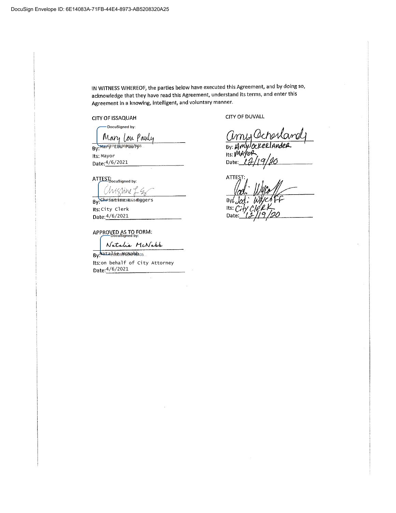IN WITNESS WHEREOF, the parties below have executed this Agreement, and by doing so, acknowledge that they have read this Agreement, understand its terms, and enter this Agreement in a knowing, Intelligent, and voluntary manner.

CITYOF ISSAQUAH

-DocuSigned by:

Mary Lou Pauly By:<del>Mar<sup>ger</sup>E96</del>86P&Q749

lts' Mayor Date: 4/6/2021

ATTEST:<br>DocuSigned by: Chrissine L

By<mark>:⊂hr</mark>asnoanæeb=s4©ggers Its: City Clerk Date: 4/6/2021

APPROVED AS TO FORM:

Natalie McNabb

By: Nata Edoro McNabb Its: on behalf of City Attorney Date: 4/6/2021

CITYOF DUVALL

Cimis Ocherland By:  $\cancel{K}$ Its: MAYOR Its: *Winyor*<br>Date:\_*12/19/20*\_\_\_\_\_\_

ATI **By** Its Date

1 A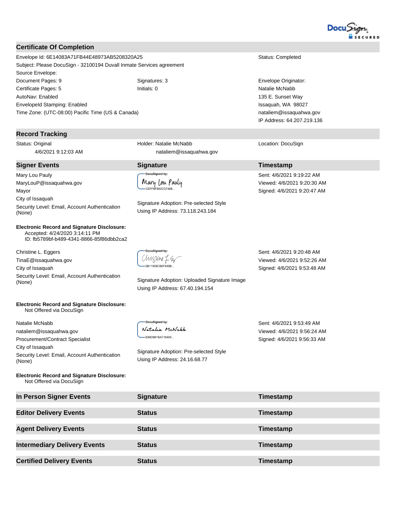

### **Certificate Of Completion**

Envelope Id: 6E14083A71FB44E48973AB5208320A25 Status: Completed Subject: Please DocuSign - 32100194 Duvall Inmate Services agreement Source Envelope: Document Pages: 9 Signatures: 3 Envelope Originator: Certificate Pages: 5 Initials: 0 Natalie McNabb AutoNav: Enabled EnvelopeId Stamping: Enabled Time Zone: (UTC-08:00) Pacific Time (US & Canada)

### **Record Tracking**

Status: Original 4/6/2021 9:12:03 AM

### **Signer Events Signature Timestamp**

Mary Lou Pauly MaryLouP@issaquahwa.gov Mayor City of Issaquah Security Level: Email, Account Authentication (None)

**Electronic Record and Signature Disclosure:**  Accepted: 4/24/2020 3:14:11 PM ID: fb5789bf-b489-4341-8866-85f86dbb2ca2

Christine L. Eggers

Natalie McNabb

City of Issaquah

(None)

TinaE@issaquahwa.gov City of Issaquah

Not Offered via DocuSign

nataliem@issaquahwa.gov Procurement/Contract Specialist

Security Level: Email, Account Authentication<br>(None)

**Electronic Record and Signature Disclosure:** 

Chigline LS 5B11958CB6F849B.

DocuSigned by: Natalie McNabb -E69D991BA716405...

Signature Adoption: Uploaded Signature Image Using IP Address: 67.40.194.154

Sent: 4/6/2021 9:20:48 AM Viewed: 4/6/2021 9:52:26 AM Signed: 4/6/2021 9:53:48 AM

Sent: 4/6/2021 9:53:49 AM Viewed: 4/6/2021 9:56:24 AM Signed: 4/6/2021 9:56:33 AM

**Electronic Record and Signature Disclosure:**  Not Offered via DocuSign

Security Level: Email, Account Authentication

| In Person Signer Events             | <b>Signature</b> | Timestamp |
|-------------------------------------|------------------|-----------|
| <b>Editor Delivery Events</b>       | <b>Status</b>    | Timestamp |
| <b>Agent Delivery Events</b>        | <b>Status</b>    | Timestamp |
| <b>Intermediary Delivery Events</b> | <b>Status</b>    | Timestamp |
| <b>Certified Delivery Events</b>    | <b>Status</b>    | Timestamp |

DocuSianed by:

Signature Adoption: Pre-selected Style Using IP Address: 24.16.68.77

CEFF9F862CD7468.

Holder: Natalie McNabb

Mary Lou Pauly

nataliem@issaquahwa.gov

Signature Adoption: Pre-selected Style Using IP Address: 73.118.243.184

135 E. Sunset Way Issaquah, WA 98027 nataliem@issaquahwa.gov IP Address: 64.207.219.136

Location: DocuSign

Sent: 4/6/2021 9:19:22 AM Viewed: 4/6/2021 9:20:30 AM Signed: 4/6/2021 9:20:47 AM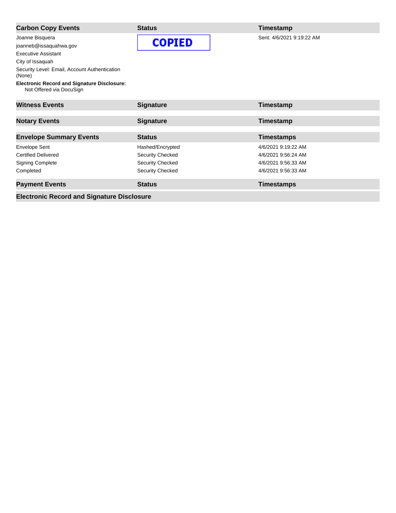| <b>Carbon Copy Events</b>                                                      | <b>Status</b>           | Timestamp                 |
|--------------------------------------------------------------------------------|-------------------------|---------------------------|
| Joanne Bisquera                                                                | <b>COPIED</b>           | Sent: 4/6/2021 9:19:22 AM |
| joanneb@issaquahwa.gov                                                         |                         |                           |
| <b>Executive Assistant</b>                                                     |                         |                           |
| City of Issaquah                                                               |                         |                           |
| Security Level: Email, Account Authentication<br>(None)                        |                         |                           |
| <b>Electronic Record and Signature Disclosure:</b><br>Not Offered via DocuSign |                         |                           |
| <b>Witness Events</b>                                                          | <b>Signature</b>        | Timestamp                 |
| <b>Notary Events</b>                                                           | <b>Signature</b>        | Timestamp                 |
| <b>Envelope Summary Events</b>                                                 | <b>Status</b>           | <b>Timestamps</b>         |
| <b>Envelope Sent</b>                                                           | Hashed/Encrypted        | 4/6/2021 9:19:22 AM       |
| <b>Certified Delivered</b>                                                     | Security Checked        | 4/6/2021 9:56:24 AM       |
| <b>Signing Complete</b>                                                        | <b>Security Checked</b> | 4/6/2021 9:56:33 AM       |
| Completed                                                                      | Security Checked        | 4/6/2021 9:56:33 AM       |
| <b>Payment Events</b>                                                          | <b>Status</b>           | <b>Timestamps</b>         |

**Electronic Record and Signature Disclosure**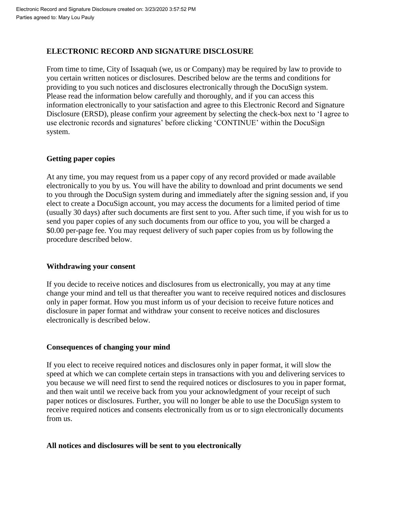# **ELECTRONIC RECORD AND SIGNATURE DISCLOSURE**

From time to time, City of Issaquah (we, us or Company) may be required by law to provide to you certain written notices or disclosures. Described below are the terms and conditions for providing to you such notices and disclosures electronically through the DocuSign system. Please read the information below carefully and thoroughly, and if you can access this information electronically to your satisfaction and agree to this Electronic Record and Signature Disclosure (ERSD), please confirm your agreement by selecting the check-box next to 'I agree to use electronic records and signatures' before clicking 'CONTINUE' within the DocuSign system.

# **Getting paper copies**

At any time, you may request from us a paper copy of any record provided or made available electronically to you by us. You will have the ability to download and print documents we send to you through the DocuSign system during and immediately after the signing session and, if you elect to create a DocuSign account, you may access the documents for a limited period of time (usually 30 days) after such documents are first sent to you. After such time, if you wish for us to send you paper copies of any such documents from our office to you, you will be charged a \$0.00 per-page fee. You may request delivery of such paper copies from us by following the procedure described below.

# **Withdrawing your consent**

If you decide to receive notices and disclosures from us electronically, you may at any time change your mind and tell us that thereafter you want to receive required notices and disclosures only in paper format. How you must inform us of your decision to receive future notices and disclosure in paper format and withdraw your consent to receive notices and disclosures electronically is described below.

# **Consequences of changing your mind**

If you elect to receive required notices and disclosures only in paper format, it will slow the speed at which we can complete certain steps in transactions with you and delivering services to you because we will need first to send the required notices or disclosures to you in paper format, and then wait until we receive back from you your acknowledgment of your receipt of such paper notices or disclosures. Further, you will no longer be able to use the DocuSign system to receive required notices and consents electronically from us or to sign electronically documents from us.

# **All notices and disclosures will be sent to you electronically**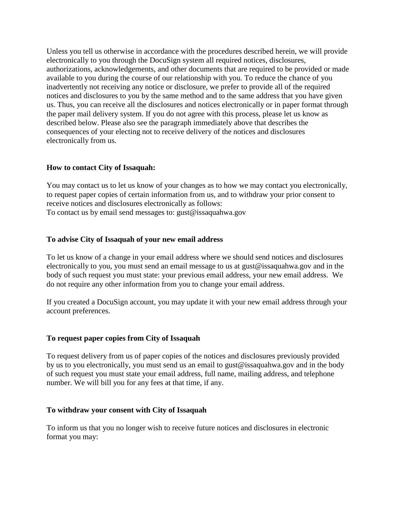Unless you tell us otherwise in accordance with the procedures described herein, we will provide electronically to you through the DocuSign system all required notices, disclosures, authorizations, acknowledgements, and other documents that are required to be provided or made available to you during the course of our relationship with you. To reduce the chance of you inadvertently not receiving any notice or disclosure, we prefer to provide all of the required notices and disclosures to you by the same method and to the same address that you have given us. Thus, you can receive all the disclosures and notices electronically or in paper format through the paper mail delivery system. If you do not agree with this process, please let us know as described below. Please also see the paragraph immediately above that describes the consequences of your electing not to receive delivery of the notices and disclosures electronically from us.

# **How to contact City of Issaquah:**

You may contact us to let us know of your changes as to how we may contact you electronically, to request paper copies of certain information from us, and to withdraw your prior consent to receive notices and disclosures electronically as follows: To contact us by email send messages to: gust@issaquahwa.gov

## **To advise City of Issaquah of your new email address**

To let us know of a change in your email address where we should send notices and disclosures electronically to you, you must send an email message to us at gust@issaquahwa.gov and in the body of such request you must state: your previous email address, your new email address. We do not require any other information from you to change your email address.

If you created a DocuSign account, you may update it with your new email address through your account preferences.

### **To request paper copies from City of Issaquah**

To request delivery from us of paper copies of the notices and disclosures previously provided by us to you electronically, you must send us an email to gust@issaquahwa.gov and in the body of such request you must state your email address, full name, mailing address, and telephone number. We will bill you for any fees at that time, if any.

### **To withdraw your consent with City of Issaquah**

To inform us that you no longer wish to receive future notices and disclosures in electronic format you may: